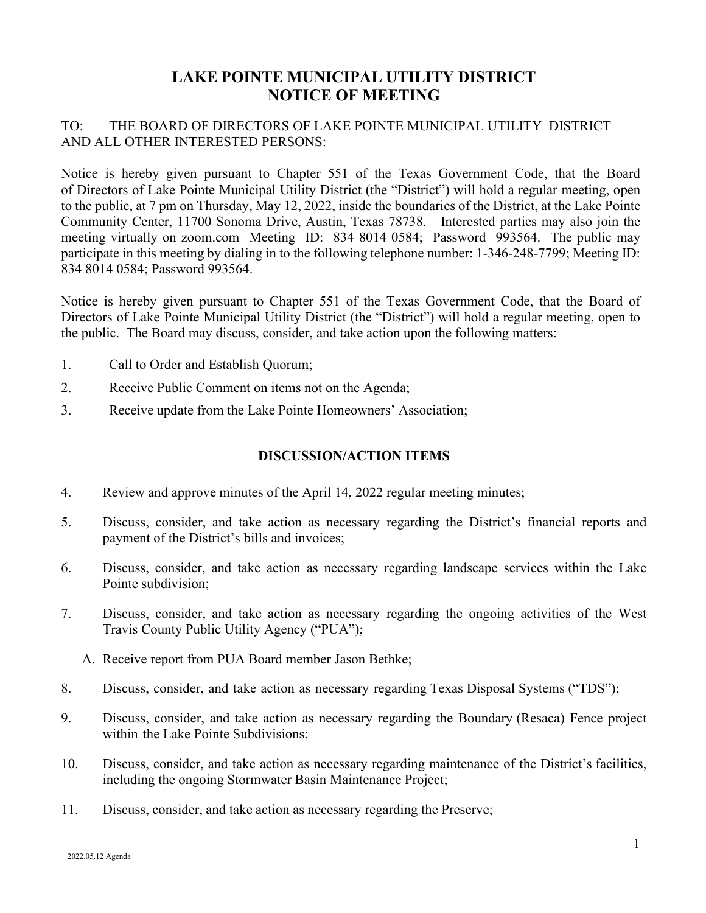## **LAKE POINTE MUNICIPAL UTILITY DISTRICT NOTICE OF MEETING**

## TO: THE BOARD OF DIRECTORS OF LAKE POINTE MUNICIPAL UTILITY DISTRICT AND ALL OTHER INTERESTED PERSONS:

Notice is hereby given pursuant to Chapter 551 of the Texas Government Code, that the Board of Directors of Lake Pointe Municipal Utility District (the "District") will hold a regular meeting, open to the public, at 7 pm on Thursday, May 12, 2022, inside the boundaries of the District, at the Lake Pointe Community Center, 11700 Sonoma Drive, Austin, Texas 78738. Interested parties may also join the meeting virtually on zoom.com Meeting ID: 834 8014 0584; Password 993564. The public may participate in this meeting by dialing in to the following telephone number: 1-346-248-7799; Meeting ID: 834 8014 0584; Password 993564.

Notice is hereby given pursuant to Chapter 551 of the Texas Government Code, that the Board of Directors of Lake Pointe Municipal Utility District (the "District") will hold a regular meeting, open to the public. The Board may discuss, consider, and take action upon the following matters:

- 1. Call to Order and Establish Quorum;
- 2. Receive Public Comment on items not on the Agenda;
- 3. Receive update from the Lake Pointe Homeowners' Association;

## **DISCUSSION/ACTION ITEMS**

- 4. Review and approve minutes of the April 14, 2022 regular meeting minutes;
- 5. Discuss, consider, and take action as necessary regarding the District's financial reports and payment of the District's bills and invoices;
- 6. Discuss, consider, and take action as necessary regarding landscape services within the Lake Pointe subdivision;
- 7. Discuss, consider, and take action as necessary regarding the ongoing activities of the West Travis County Public Utility Agency ("PUA");
	- A. Receive report from PUA Board member Jason Bethke;
- 8. Discuss, consider, and take action as necessary regarding Texas Disposal Systems ("TDS");
- 9. Discuss, consider, and take action as necessary regarding the Boundary (Resaca) Fence project within the Lake Pointe Subdivisions;
- 10. Discuss, consider, and take action as necessary regarding maintenance of the District's facilities, including the ongoing Stormwater Basin Maintenance Project;
- 11. Discuss, consider, and take action as necessary regarding the Preserve;